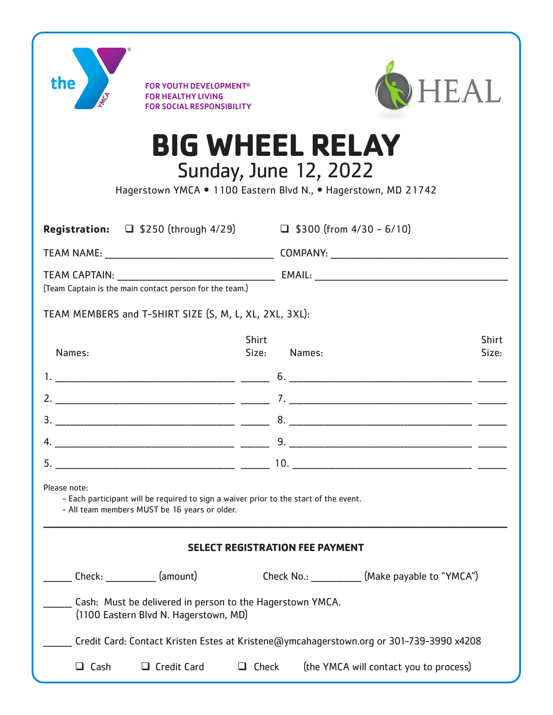| the                                                                                                                                                    | <b>FOR YOUTH DEVELOPMENT<sup>®</sup></b><br>R HEALTHY LIVING<br><b>FOR SOCIAL RESPONSIBILITY</b> |                       | <b>HEAL</b>                                       |                       |
|--------------------------------------------------------------------------------------------------------------------------------------------------------|--------------------------------------------------------------------------------------------------|-----------------------|---------------------------------------------------|-----------------------|
| <b>BIG WHEEL RELAY</b><br><b>Sunday, June 12, 2022</b><br>Hagerstown YMCA . 1100 Eastern Blvd N., . Hagerstown, MD 21742                               |                                                                                                  |                       |                                                   |                       |
|                                                                                                                                                        | <b>Registration:</b> $\Box$ \$250 (through 4/29)                                                 |                       | $\Box$ \$300 (from 4/30 - 6/10)                   |                       |
|                                                                                                                                                        |                                                                                                  |                       |                                                   |                       |
|                                                                                                                                                        |                                                                                                  |                       |                                                   |                       |
| (Team Captain is the main contact person for the team.)                                                                                                |                                                                                                  |                       |                                                   |                       |
| TEAM MEMBERS and T-SHIRT SIZE (S, M, L, XL, 2XL, 3XL):                                                                                                 |                                                                                                  |                       |                                                   |                       |
| Names:                                                                                                                                                 |                                                                                                  | <b>Shirt</b><br>Size: | Names:                                            | <b>Shirt</b><br>Size: |
|                                                                                                                                                        |                                                                                                  |                       |                                                   |                       |
|                                                                                                                                                        |                                                                                                  |                       |                                                   |                       |
|                                                                                                                                                        |                                                                                                  |                       |                                                   |                       |
| 4.                                                                                                                                                     |                                                                                                  |                       |                                                   |                       |
|                                                                                                                                                        |                                                                                                  |                       |                                                   |                       |
| Please note:<br>- Each participant will be required to sign a waiver prior to the start of the event.<br>- All team members MUST be 16 years or older. |                                                                                                  |                       |                                                   |                       |
| <b>SELECT REGISTRATION FEE PAYMENT</b>                                                                                                                 |                                                                                                  |                       |                                                   |                       |
|                                                                                                                                                        | Check: (amount)                                                                                  |                       | Check No.: _____________ (Make payable to "YMCA") |                       |
| Cash: Must be delivered in person to the Hagerstown YMCA.<br>(1100 Eastern Blvd N. Hagerstown, MD)                                                     |                                                                                                  |                       |                                                   |                       |
| Credit Card: Contact Kristen Estes at Kristene@ymcahagerstown.org or 301-739-3990 x4208                                                                |                                                                                                  |                       |                                                   |                       |
| $\Box$ Cash                                                                                                                                            | $\Box$ Credit Card                                                                               | $\Box$ Check          | (the YMCA will contact you to process)            |                       |